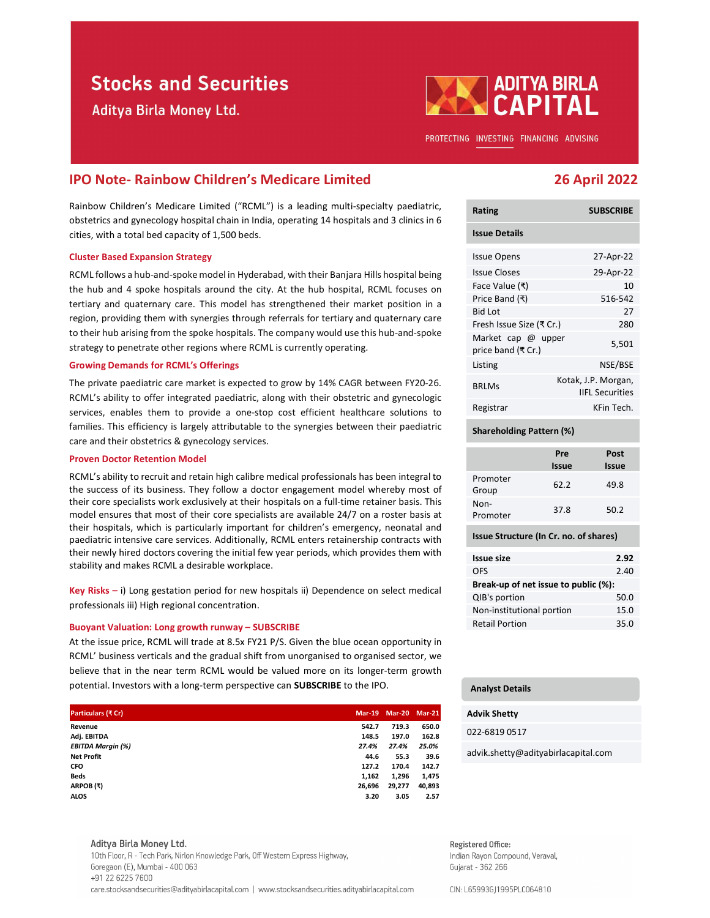# **Stocks and Securities**

Aditya Birla Money Ltd.



PROTECTING INVESTING FINANCING ADVISING

# IPO Note- Rainbow Children's Medicare Limited 26 April 2022

Rainbow Children's Medicare Limited ("RCML") is a leading multi-specialty paediatric, obstetrics and gynecology hospital chain in India, operating 14 hospitals and 3 clinics in 6 cities, with a total bed capacity of 1,500 beds.

### Cluster Based Expansion Strategy

RCML follows a hub-and-spoke model in Hyderabad, with their Banjara Hills hospital being the hub and 4 spoke hospitals around the city. At the hub hospital, RCML focuses on tertiary and quaternary care. This model has strengthened their market position in a region, providing them with synergies through referrals for tertiary and quaternary care to their hub arising from the spoke hospitals. The company would use this hub-and-spoke strategy to penetrate other regions where RCML is currently operating.

### Growing Demands for RCML's Offerings

The private paediatric care market is expected to grow by 14% CAGR between FY20-26. RCML's ability to offer integrated paediatric, along with their obstetric and gynecologic services, enables them to provide a one-stop cost efficient healthcare solutions to families. This efficiency is largely attributable to the synergies between their paediatric care and their obstetrics & gynecology services.

### Proven Doctor Retention Model

RCML's ability to recruit and retain high calibre medical professionals has been integral to the success of its business. They follow a doctor engagement model whereby most of their core specialists work exclusively at their hospitals on a full-time retainer basis. This model ensures that most of their core specialists are available 24/7 on a roster basis at their hospitals, which is particularly important for children's emergency, neonatal and paediatric intensive care services. Additionally, RCML enters retainership contracts with their newly hired doctors covering the initial few year periods, which provides them with stability and makes RCML a desirable workplace. Amello the synergies between their pediatric Shareholding Pattern (5)<br>
Proven Doctor Retention Model<br>
Ercent, a since the success of its business. They follow a doctor engagement model were by most of<br>
Ercenters (Erd, sub Proven Doctor Recent Markin (Which and the University of CRCM). The results of CRAC and the University of CRAC and the University of CRAC and the University of CRAC and the University of CRAC and the University of CRAC and RCML's ability to recruit and retain high calibre medical professionals has been integral to<br>
the success of as basiness. This follows a doctor engagement model whereby nost of Srops<br>
their cross good fields work exclusi

### Buoyant Valuation: Long growth runway – SUBSCRIBE

| their core specialists work exclusively at their hospitals on a full-time retainer basis. This<br>model ensures that most of their core specialists are available 24/7 on a roster basis at |                                                                                                                                              |                                        |                | Non-<br>Promoter | 37.8                                 | 50.2                              |      |  |  |
|---------------------------------------------------------------------------------------------------------------------------------------------------------------------------------------------|----------------------------------------------------------------------------------------------------------------------------------------------|----------------------------------------|----------------|------------------|--------------------------------------|-----------------------------------|------|--|--|
| their hospitals, which is particularly important for children's emergency, neonatal and<br>paediatric intensive care services. Additionally, RCML enters retainership contracts with        |                                                                                                                                              | Issue Structure (In Cr. no. of shares) |                |                  |                                      |                                   |      |  |  |
| their newly hired doctors covering the initial few year periods, which provides them with                                                                                                   |                                                                                                                                              |                                        |                |                  | <b>Issue size</b>                    |                                   | 2.92 |  |  |
| stability and makes RCML a desirable workplace.                                                                                                                                             |                                                                                                                                              |                                        |                |                  | <b>OFS</b>                           |                                   | 2.40 |  |  |
|                                                                                                                                                                                             |                                                                                                                                              |                                        |                |                  | Break-up of net issue to public (%): |                                   |      |  |  |
|                                                                                                                                                                                             | Key Risks $-$ i) Long gestation period for new hospitals ii) Dependence on select medical<br>professionals iii) High regional concentration. |                                        |                |                  |                                      | QIB's portion<br>50.0             |      |  |  |
|                                                                                                                                                                                             |                                                                                                                                              |                                        |                |                  |                                      | Non-institutional portion<br>15.0 |      |  |  |
| Buoyant Valuation: Long growth runway - SUBSCRIBE                                                                                                                                           |                                                                                                                                              |                                        |                |                  | <b>Retail Portion</b>                |                                   | 35.0 |  |  |
| At the issue price, RCML will trade at 8.5x FY21 P/S. Given the blue ocean opportunity in                                                                                                   |                                                                                                                                              |                                        |                |                  |                                      |                                   |      |  |  |
| RCML' business verticals and the gradual shift from unorganised to organised sector, we                                                                                                     |                                                                                                                                              |                                        |                |                  |                                      |                                   |      |  |  |
| believe that in the near term RCML would be valued more on its longer-term growth                                                                                                           |                                                                                                                                              |                                        |                |                  |                                      |                                   |      |  |  |
| potential. Investors with a long-term perspective can <b>SUBSCRIBE</b> to the IPO.                                                                                                          |                                                                                                                                              |                                        |                |                  |                                      |                                   |      |  |  |
|                                                                                                                                                                                             |                                                                                                                                              |                                        |                |                  | <b>Analyst Details</b>               |                                   |      |  |  |
| Particulars (₹ Cr)                                                                                                                                                                          |                                                                                                                                              | Mar-19 Mar-20 Mar-21                   |                |                  | <b>Advik Shetty</b>                  |                                   |      |  |  |
| Revenue<br>Adj. EBITDA                                                                                                                                                                      | 542.7<br>148.5                                                                                                                               | 719.3<br>197.0                         | 650.0<br>162.8 |                  | 022-6819 0517                        |                                   |      |  |  |
| <b>EBITDA Margin (%)</b><br><b>Net Profit</b>                                                                                                                                               | 27.4%<br>44.6                                                                                                                                | 27.4%<br>55.3                          | 25.0%<br>39.6  |                  | advik.shetty@adityabirlacapital.com  |                                   |      |  |  |
| <b>CFO</b><br>Beds                                                                                                                                                                          | 127.2<br>1,162                                                                                                                               | 170.4<br>1,296                         | 142.7<br>1,475 |                  |                                      |                                   |      |  |  |
| ARPOB(₹)                                                                                                                                                                                    | 26,696                                                                                                                                       | 29,277                                 | 40,893         |                  |                                      |                                   |      |  |  |
| <b>ALOS</b>                                                                                                                                                                                 | 3.20                                                                                                                                         | 3.05                                   | 2.57           |                  |                                      |                                   |      |  |  |
|                                                                                                                                                                                             |                                                                                                                                              |                                        |                |                  |                                      |                                   |      |  |  |
| Aditya Birla Money Ltd.                                                                                                                                                                     |                                                                                                                                              |                                        |                |                  | Registered Office:                   |                                   |      |  |  |
| 10th Floor, R - Tech Park, Nirlon Knowledge Park, Off Western Express Highway,                                                                                                              |                                                                                                                                              |                                        |                |                  | Indian Rayon Compound, Veraval,      |                                   |      |  |  |
| Goregaon (E), Mumbai - 400 063<br>+91 22 6225 7600                                                                                                                                          |                                                                                                                                              |                                        |                |                  | Gujarat - 362 266                    |                                   |      |  |  |

care.stocksandsecurities@adityabirlacapital.com | www.stocksandsecurities.adityabirlacapital.com

| <b>Rating</b>                            | <b>SUBSCRIBE</b>                              |
|------------------------------------------|-----------------------------------------------|
| <b>Issue Details</b>                     |                                               |
| <b>Issue Opens</b>                       | 27-Apr-22                                     |
| Issue Closes                             | 29-Apr-22                                     |
| Face Value (₹)                           | 10                                            |
| Price Band (₹)                           | 516-542                                       |
| <b>Bid Lot</b>                           | 27                                            |
| Fresh Issue Size (₹ Cr.)                 | 280                                           |
| Market cap @ upper<br>price band (₹ Cr.) | 5,501                                         |
| Listing                                  | NSE/BSE                                       |
| <b>BRLMs</b>                             | Kotak, J.P. Morgan,<br><b>IIFL Securities</b> |
| Registrar                                | KFin Tech.                                    |

#### Shareholding Pattern (%)

|                   | Pre<br><b>Issue</b> | Post<br><b>Issue</b> |
|-------------------|---------------------|----------------------|
| Promoter<br>Group | 62.2                | 49.8                 |
| Non-<br>Promoter  | 37.8                | 50.2                 |

| 2.92                                 |  |  |  |  |
|--------------------------------------|--|--|--|--|
| 2.40                                 |  |  |  |  |
| Break-up of net issue to public (%): |  |  |  |  |
| 50.0                                 |  |  |  |  |
| 15.0                                 |  |  |  |  |
| 35.0                                 |  |  |  |  |
|                                      |  |  |  |  |

## Analyst Details

### Advik Shetty